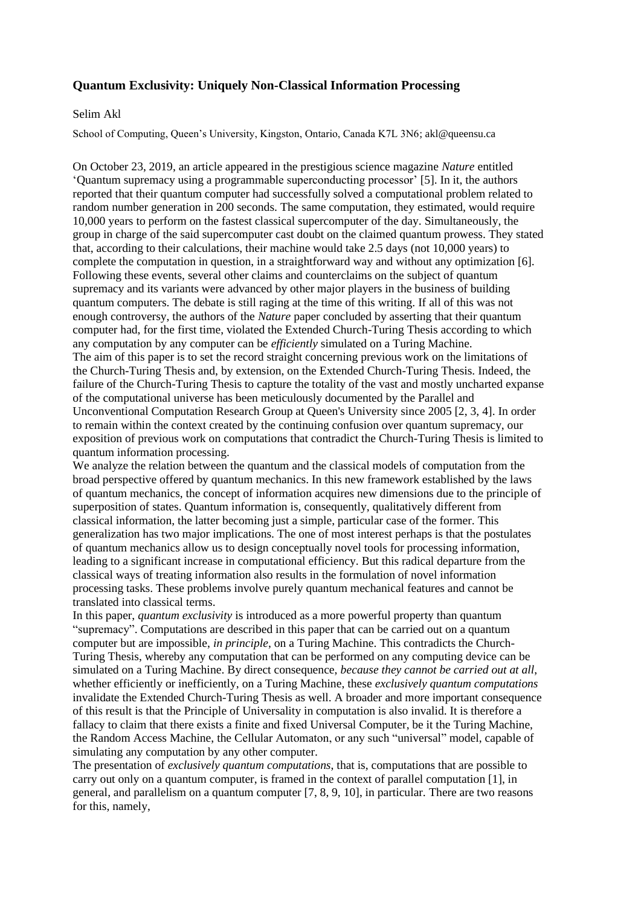## **Quantum Exclusivity: Uniquely Non-Classical Information Processing**

## Selim Akl

School of Computing, Queen's University, Kingston, Ontario, Canada K7L 3N6; akl@queensu.ca

On October 23, 2019, an article appeared in the prestigious science magazine *Nature* entitled 'Quantum supremacy using a programmable superconducting processor' [5]. In it, the authors reported that their quantum computer had successfully solved a computational problem related to random number generation in 200 seconds. The same computation, they estimated, would require 10,000 years to perform on the fastest classical supercomputer of the day. Simultaneously, the group in charge of the said supercomputer cast doubt on the claimed quantum prowess. They stated that, according to their calculations, their machine would take 2.5 days (not 10,000 years) to complete the computation in question, in a straightforward way and without any optimization [6]. Following these events, several other claims and counterclaims on the subject of quantum supremacy and its variants were advanced by other major players in the business of building quantum computers. The debate is still raging at the time of this writing. If all of this was not enough controversy, the authors of the *Nature* paper concluded by asserting that their quantum computer had, for the first time, violated the Extended Church-Turing Thesis according to which any computation by any computer can be *efficiently* simulated on a Turing Machine. The aim of this paper is to set the record straight concerning previous work on the limitations of the Church-Turing Thesis and, by extension, on the Extended Church-Turing Thesis. Indeed, the failure of the Church-Turing Thesis to capture the totality of the vast and mostly uncharted expanse of the computational universe has been meticulously documented by the Parallel and Unconventional Computation Research Group at Queen's University since 2005 [2, 3, 4]. In order to remain within the context created by the continuing confusion over quantum supremacy, our exposition of previous work on computations that contradict the Church-Turing Thesis is limited to quantum information processing.

We analyze the relation between the quantum and the classical models of computation from the broad perspective offered by quantum mechanics. In this new framework established by the laws of quantum mechanics, the concept of information acquires new dimensions due to the principle of superposition of states. Quantum information is, consequently, qualitatively different from classical information, the latter becoming just a simple, particular case of the former. This generalization has two major implications. The one of most interest perhaps is that the postulates of quantum mechanics allow us to design conceptually novel tools for processing information, leading to a significant increase in computational efficiency. But this radical departure from the classical ways of treating information also results in the formulation of novel information processing tasks. These problems involve purely quantum mechanical features and cannot be translated into classical terms.

In this paper, *quantum exclusivity* is introduced as a more powerful property than quantum "supremacy". Computations are described in this paper that can be carried out on a quantum computer but are impossible, *in principle*, on a Turing Machine. This contradicts the Church-Turing Thesis, whereby any computation that can be performed on any computing device can be simulated on a Turing Machine. By direct consequence, *because they cannot be carried out at all*, whether efficiently or inefficiently, on a Turing Machine, these *exclusively quantum computations* invalidate the Extended Church-Turing Thesis as well. A broader and more important consequence of this result is that the Principle of Universality in computation is also invalid. It is therefore a fallacy to claim that there exists a finite and fixed Universal Computer, be it the Turing Machine. the Random Access Machine, the Cellular Automaton, or any such "universal" model, capable of simulating any computation by any other computer.

The presentation of *exclusively quantum computations*, that is, computations that are possible to carry out only on a quantum computer, is framed in the context of parallel computation [1], in general, and parallelism on a quantum computer [7, 8, 9, 10], in particular. There are two reasons for this, namely,